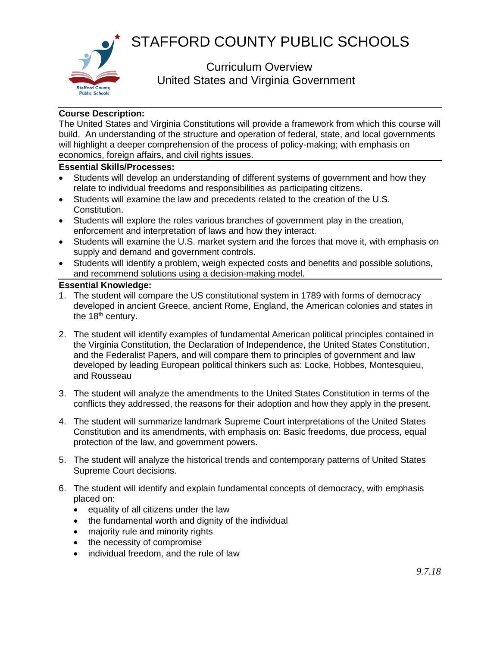



 Curriculum Overview United States and Virginia Government

## **Course Description:**

The United States and Virginia Constitutions will provide a framework from which this course will build. An understanding of the structure and operation of federal, state, and local governments will highlight a deeper comprehension of the process of policy-making; with emphasis on economics, foreign affairs, and civil rights issues.

## **Essential Skills/Processes:**

- Students will develop an understanding of different systems of government and how they relate to individual freedoms and responsibilities as participating citizens.
- Students will examine the law and precedents related to the creation of the U.S. Constitution.
- Students will explore the roles various branches of government play in the creation, enforcement and interpretation of laws and how they interact.
- Students will examine the U.S. market system and the forces that move it, with emphasis on supply and demand and government controls.
- Students will identify a problem, weigh expected costs and benefits and possible solutions, and recommend solutions using a decision-making model.

## **Essential Knowledge:**

- 1. The student will compare the US constitutional system in 1789 with forms of democracy developed in ancient Greece, ancient Rome, England, the American colonies and states in the 18<sup>th</sup> century.
- 2. The student will identify examples of fundamental American political principles contained in the Virginia Constitution, the Declaration of Independence, the United States Constitution, and the Federalist Papers, and will compare them to principles of government and law developed by leading European political thinkers such as: Locke, Hobbes, Montesquieu, and Rousseau
- 3. The student will analyze the amendments to the United States Constitution in terms of the conflicts they addressed, the reasons for their adoption and how they apply in the present.
- 4. The student will summarize landmark Supreme Court interpretations of the United States Constitution and its amendments, with emphasis on: Basic freedoms, due process, equal protection of the law, and government powers.
- 5. The student will analyze the historical trends and contemporary patterns of United States Supreme Court decisions.
- 6. The student will identify and explain fundamental concepts of democracy, with emphasis placed on:
	- equality of all citizens under the law
	- the fundamental worth and dignity of the individual
	- majority rule and minority rights
	- the necessity of compromise
	- individual freedom, and the rule of law